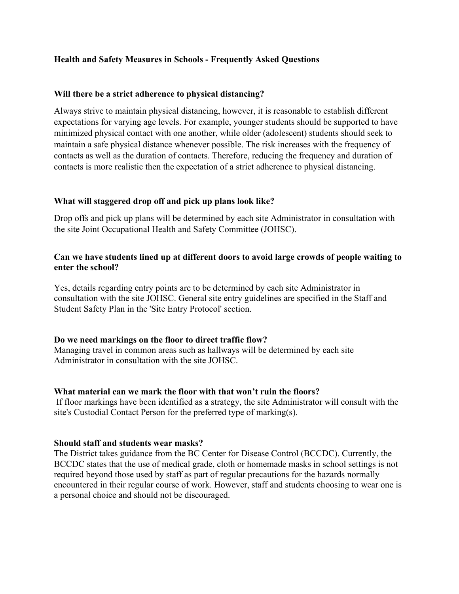### **Health and Safety Measures in Schools - Frequently Asked Questions**

#### **Will there be a strict adherence to physical distancing?**

Always strive to maintain physical distancing, however, it is reasonable to establish different expectations for varying age levels. For example, younger students should be supported to have minimized physical contact with one another, while older (adolescent) students should seek to maintain a safe physical distance whenever possible. The risk increases with the frequency of contacts as well as the duration of contacts. Therefore, reducing the frequency and duration of contacts is more realistic then the expectation of a strict adherence to physical distancing.

#### **What will staggered drop off and pick up plans look like?**

Drop offs and pick up plans will be determined by each site Administrator in consultation with the site Joint Occupational Health and Safety Committee (JOHSC).

### **Can we have students lined up at different doors to avoid large crowds of people waiting to enter the school?**

Yes, details regarding entry points are to be determined by each site Administrator in consultation with the site JOHSC. General site entry guidelines are specified in the Staff and Student Safety Plan in the 'Site Entry Protocol' section.

#### **Do we need markings on the floor to direct traffic flow?**

Managing travel in common areas such as hallways will be determined by each site Administrator in consultation with the site JOHSC.

#### **What material can we mark the floor with that won't ruin the floors?**

If floor markings have been identified as a strategy, the site Administrator will consult with the site's Custodial Contact Person for the preferred type of marking(s).

#### **Should staff and students wear masks?**

The District takes guidance from the BC Center for Disease Control (BCCDC). Currently, the BCCDC states that the use of medical grade, cloth or homemade masks in school settings is not required beyond those used by staff as part of regular precautions for the hazards normally encountered in their regular course of work. However, staff and students choosing to wear one is a personal choice and should not be discouraged.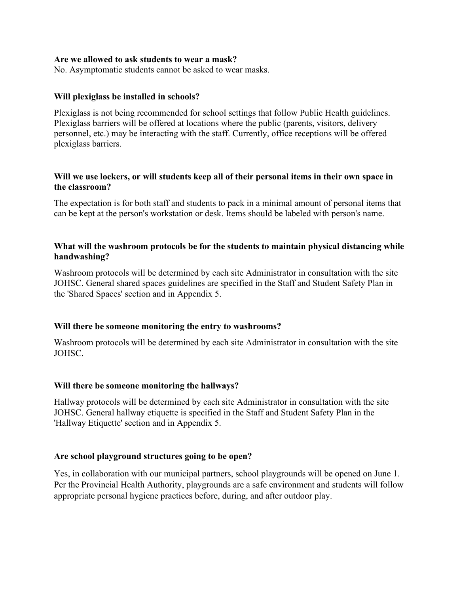#### **Are we allowed to ask students to wear a mask?**

No. Asymptomatic students cannot be asked to wear masks.

#### **Will plexiglass be installed in schools?**

Plexiglass is not being recommended for school settings that follow Public Health guidelines. Plexiglass barriers will be offered at locations where the public (parents, visitors, delivery personnel, etc.) may be interacting with the staff. Currently, office receptions will be offered plexiglass barriers.

### **Will we use lockers, or will students keep all of their personal items in their own space in the classroom?**

The expectation is for both staff and students to pack in a minimal amount of personal items that can be kept at the person's workstation or desk. Items should be labeled with person's name.

### **What will the washroom protocols be for the students to maintain physical distancing while handwashing?**

Washroom protocols will be determined by each site Administrator in consultation with the site JOHSC. General shared spaces guidelines are specified in the Staff and Student Safety Plan in the 'Shared Spaces' section and in Appendix 5.

### **Will there be someone monitoring the entry to washrooms?**

Washroom protocols will be determined by each site Administrator in consultation with the site JOHSC.

### **Will there be someone monitoring the hallways?**

Hallway protocols will be determined by each site Administrator in consultation with the site JOHSC. General hallway etiquette is specified in the Staff and Student Safety Plan in the 'Hallway Etiquette' section and in Appendix 5.

### **Are school playground structures going to be open?**

Yes, in collaboration with our municipal partners, school playgrounds will be opened on June 1. Per the Provincial Health Authority, playgrounds are a safe environment and students will follow appropriate personal hygiene practices before, during, and after outdoor play.